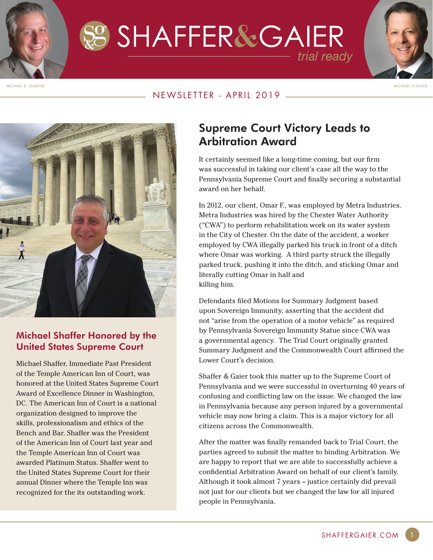SS SHAFFER&GAIER trial ready



MICHAEL D. SHAFFER MICHAEL H.GAIER

#### NEWSLETTER - APRIL 2019



#### Michael Shaffer Honored by the United States Supreme Court

Michael Shaffer, Immediate Past President of the Temple American Inn of Court, was honored at the United States Supreme Court Award of Excellence Dinner in Washington, DC. The American Inn of Court is a national organization designed to improve the skills, professionalism and ethics of the Bench and Bar. Shaffer was the President of the American Inn of Court last year and the Temple American Inn of Court was awarded Platinum Status. Shaffer went to the United States Supreme Court for their annual Dinner where the Temple Inn was recognized for the its outstanding work.

## Supreme Court Victory Leads to Arbitration Award

It certainly seemed like a long-time coming, but our firm was successful in taking our client's case all the way to the Pennsylvania Supreme Court and finally securing a substantial award on her behalf.

In 2012, our client, Omar F., was employed by Metra Industries. Metra Industries was hired by the Chester Water Authority ("CWA") to perform rehabilitation work on its water system in the City of Chester. On the date of the accident, a worker employed by CWA illegally parked his truck in front of a ditch where Omar was working. A third party struck the illegally parked truck, pushing it into the ditch, and sticking Omar and literally cutting Omar in half and killing him.

Defendants filed Motions for Summary Judgment based upon Sovereign Immunity, asserting that the accident did not "arise from the operation of a motor vehicle" as required by Pennsylvania Sovereign Immunity Statue since CWA was a governmental agency. The Trial Court originally granted Summary Judgment and the Commonwealth Court affirmed the Lower Court's decision.

Shaffer & Gaier took this matter up to the Supreme Court of Pennsylvania and we were successful in overturning 40 years of confusing and conflicting law on the issue. We changed the law in Pennsylvania because any person injured by a governmental vehicle may now bring a claim. This is a major victory for all citizens across the Commonwealth.

After the matter was finally remanded back to Trial Court, the parties agreed to submit the matter to binding Arbitration. We are happy to report that we are able to successfully achieve a confidential Arbitration Award on behalf of our client's family. Although it took almost 7 years – justice certainly did prevail not just for our clients but we changed the law for all injured people in Pennsylvania.